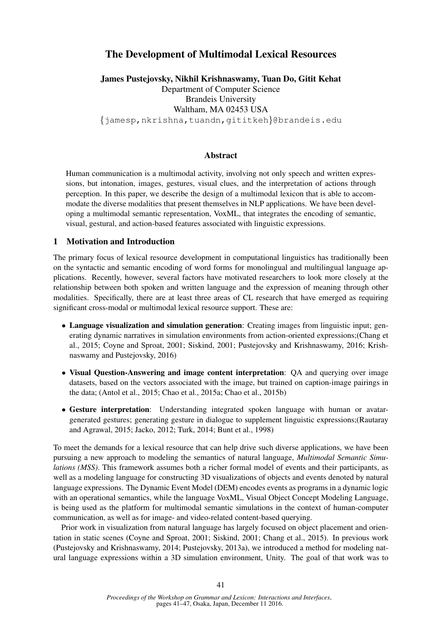# The Development of Multimodal Lexical Resources

James Pustejovsky, Nikhil Krishnaswamy, Tuan Do, Gitit Kehat Department of Computer Science Brandeis University Waltham, MA 02453 USA {jamesp,nkrishna,tuandn,gititkeh}@brandeis.edu

## Abstract

Human communication is a multimodal activity, involving not only speech and written expressions, but intonation, images, gestures, visual clues, and the interpretation of actions through perception. In this paper, we describe the design of a multimodal lexicon that is able to accommodate the diverse modalities that present themselves in NLP applications. We have been developing a multimodal semantic representation, VoxML, that integrates the encoding of semantic, visual, gestural, and action-based features associated with linguistic expressions.

### 1 Motivation and Introduction

The primary focus of lexical resource development in computational linguistics has traditionally been on the syntactic and semantic encoding of word forms for monolingual and multilingual language applications. Recently, however, several factors have motivated researchers to look more closely at the relationship between both spoken and written language and the expression of meaning through other modalities. Specifically, there are at least three areas of CL research that have emerged as requiring significant cross-modal or multimodal lexical resource support. These are:

- Language visualization and simulation generation: Creating images from linguistic input; generating dynamic narratives in simulation environments from action-oriented expressions;(Chang et al., 2015; Coyne and Sproat, 2001; Siskind, 2001; Pustejovsky and Krishnaswamy, 2016; Krishnaswamy and Pustejovsky, 2016)
- Visual Question-Answering and image content interpretation: QA and querying over image datasets, based on the vectors associated with the image, but trained on caption-image pairings in the data; (Antol et al., 2015; Chao et al., 2015a; Chao et al., 2015b)
- Gesture interpretation: Understanding integrated spoken language with human or avatargenerated gestures; generating gesture in dialogue to supplement linguistic expressions;(Rautaray and Agrawal, 2015; Jacko, 2012; Turk, 2014; Bunt et al., 1998)

To meet the demands for a lexical resource that can help drive such diverse applications, we have been pursuing a new approach to modeling the semantics of natural language, *Multimodal Semantic Simulations (MSS)*. This framework assumes both a richer formal model of events and their participants, as well as a modeling language for constructing 3D visualizations of objects and events denoted by natural language expressions. The Dynamic Event Model (DEM) encodes events as programs in a dynamic logic with an operational semantics, while the language VoxML, Visual Object Concept Modeling Language, is being used as the platform for multimodal semantic simulations in the context of human-computer communication, as well as for image- and video-related content-based querying.

Prior work in visualization from natural language has largely focused on object placement and orientation in static scenes (Coyne and Sproat, 2001; Siskind, 2001; Chang et al., 2015). In previous work (Pustejovsky and Krishnaswamy, 2014; Pustejovsky, 2013a), we introduced a method for modeling natural language expressions within a 3D simulation environment, Unity. The goal of that work was to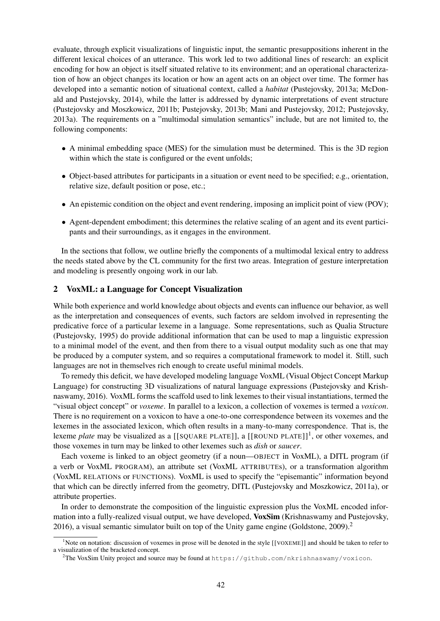evaluate, through explicit visualizations of linguistic input, the semantic presuppositions inherent in the different lexical choices of an utterance. This work led to two additional lines of research: an explicit encoding for how an object is itself situated relative to its environment; and an operational characterization of how an object changes its location or how an agent acts on an object over time. The former has developed into a semantic notion of situational context, called a *habitat* (Pustejovsky, 2013a; McDonald and Pustejovsky, 2014), while the latter is addressed by dynamic interpretations of event structure (Pustejovsky and Moszkowicz, 2011b; Pustejovsky, 2013b; Mani and Pustejovsky, 2012; Pustejovsky, 2013a). The requirements on a "multimodal simulation semantics" include, but are not limited to, the following components:

- A minimal embedding space (MES) for the simulation must be determined. This is the 3D region within which the state is configured or the event unfolds;
- Object-based attributes for participants in a situation or event need to be specified; e.g., orientation, relative size, default position or pose, etc.;
- An epistemic condition on the object and event rendering, imposing an implicit point of view (POV);
- Agent-dependent embodiment; this determines the relative scaling of an agent and its event participants and their surroundings, as it engages in the environment.

In the sections that follow, we outline briefly the components of a multimodal lexical entry to address the needs stated above by the CL community for the first two areas. Integration of gesture interpretation and modeling is presently ongoing work in our lab.

### 2 VoxML: a Language for Concept Visualization

While both experience and world knowledge about objects and events can influence our behavior, as well as the interpretation and consequences of events, such factors are seldom involved in representing the predicative force of a particular lexeme in a language. Some representations, such as Qualia Structure (Pustejovsky, 1995) do provide additional information that can be used to map a linguistic expression to a minimal model of the event, and then from there to a visual output modality such as one that may be produced by a computer system, and so requires a computational framework to model it. Still, such languages are not in themselves rich enough to create useful minimal models.

To remedy this deficit, we have developed modeling language VoxML (Visual Object Concept Markup Language) for constructing 3D visualizations of natural language expressions (Pustejovsky and Krishnaswamy, 2016). VoxML forms the scaffold used to link lexemes to their visual instantiations, termed the "visual object concept" or *voxeme*. In parallel to a lexicon, a collection of voxemes is termed a *voxicon*. There is no requirement on a voxicon to have a one-to-one correspondence between its voxemes and the lexemes in the associated lexicon, which often results in a many-to-many correspondence. That is, the lexeme *plate* may be visualized as a [[SQUARE PLATE]], a [[ROUND PLATE]]<sup>1</sup>, or other voxemes, and those voxemes in turn may be linked to other lexemes such as *dish* or *saucer*.

Each voxeme is linked to an object geometry (if a noun—OBJECT in VoxML), a DITL program (if a verb or VoxML PROGRAM), an attribute set (VoxML ATTRIBUTEs), or a transformation algorithm (VoxML RELATIONs or FUNCTIONs). VoxML is used to specify the "episemantic" information beyond that which can be directly inferred from the geometry, DITL (Pustejovsky and Moszkowicz, 2011a), or attribute properties.

In order to demonstrate the composition of the linguistic expression plus the VoxML encoded information into a fully-realized visual output, we have developed, VoxSim (Krishnaswamy and Pustejovsky, 2016), a visual semantic simulator built on top of the Unity game engine (Goldstone,  $2009$ ).<sup>2</sup>

<sup>&</sup>lt;sup>1</sup>Note on notation: discussion of voxemes in prose will be denoted in the style [[VOXEME]] and should be taken to refer to a visualization of the bracketed concept.

 $2$ The VoxSim Unity project and source may be found at https://github.com/nkrishnaswamy/voxicon.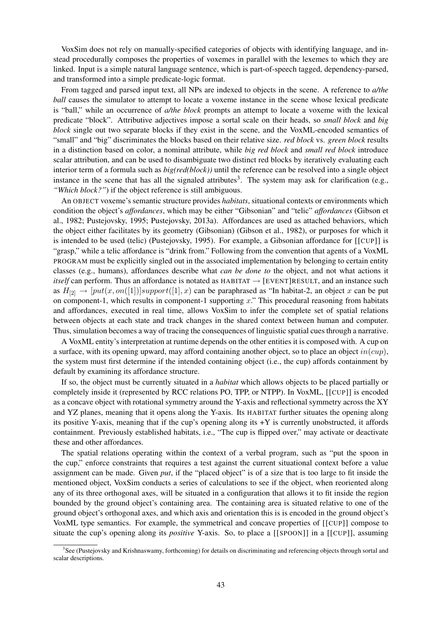VoxSim does not rely on manually-specified categories of objects with identifying language, and instead procedurally composes the properties of voxemes in parallel with the lexemes to which they are linked. Input is a simple natural language sentence, which is part-of-speech tagged, dependency-parsed, and transformed into a simple predicate-logic format.

From tagged and parsed input text, all NPs are indexed to objects in the scene. A reference to *a/the ball* causes the simulator to attempt to locate a voxeme instance in the scene whose lexical predicate is "ball," while an occurrence of *a/the block* prompts an attempt to locate a voxeme with the lexical predicate "block". Attributive adjectives impose a sortal scale on their heads, so *small block* and *big block* single out two separate blocks if they exist in the scene, and the VoxML-encoded semantics of "small" and "big" discriminates the blocks based on their relative size. *red block* vs. *green block* results in a distinction based on color, a nominal attribute, while *big red block* and *small red block* introduce scalar attribution, and can be used to disambiguate two distinct red blocks by iteratively evaluating each interior term of a formula such as *big(red(block))* until the reference can be resolved into a single object instance in the scene that has all the signaled attributes<sup>3</sup>. The system may ask for clarification (e.g., *"Which block?"*) if the object reference is still ambiguous.

An OBJECT voxeme's semantic structure provides *habitats*, situational contexts or environments which condition the object's *affordances*, which may be either "Gibsonian" and "telic" *affordances* (Gibson et al., 1982; Pustejovsky, 1995; Pustejovsky, 2013a). Affordances are used as attached behaviors, which the object either facilitates by its geometry (Gibsonian) (Gibson et al., 1982), or purposes for which it is intended to be used (telic) (Pustejovsky, 1995). For example, a Gibsonian affordance for [[CUP]] is "grasp," while a telic affordance is "drink from." Following from the convention that agents of a VoxML PROGRAM must be explicitly singled out in the associated implementation by belonging to certain entity classes (e.g., humans), affordances describe what *can be done to* the object, and not what actions it *itself* can perform. Thus an affordance is notated as HABITAT → [EVENT]RESULT, and an instance such as  $H_{[2]} \to [put(x, on([1])] support([1], x)$  can be paraphrased as "In habitat-2, an object x can be put on component-1, which results in component-1 supporting  $x$ ." This procedural reasoning from habitats and affordances, executed in real time, allows VoxSim to infer the complete set of spatial relations between objects at each state and track changes in the shared context between human and computer. Thus, simulation becomes a way of tracing the consequences of linguistic spatial cues through a narrative.

A VoxML entity's interpretation at runtime depends on the other entities it is composed with. A cup on a surface, with its opening upward, may afford containing another object, so to place an object  $in(cuv)$ . the system must first determine if the intended containing object (i.e., the cup) affords containment by default by examining its affordance structure.

If so, the object must be currently situated in a *habitat* which allows objects to be placed partially or completely inside it (represented by RCC relations PO, TPP, or NTPP). In VoxML, [[CUP]] is encoded as a concave object with rotational symmetry around the Y-axis and reflectional symmetry across the XY and YZ planes, meaning that it opens along the Y-axis. Its HABITAT further situates the opening along its positive Y-axis, meaning that if the cup's opening along its  $+Y$  is currently unobstructed, it affords containment. Previously established habitats, i.e., "The cup is flipped over," may activate or deactivate these and other affordances.

The spatial relations operating within the context of a verbal program, such as "put the spoon in the cup," enforce constraints that requires a test against the current situational context before a value assignment can be made. Given *put*, if the "placed object" is of a size that is too large to fit inside the mentioned object, VoxSim conducts a series of calculations to see if the object, when reoriented along any of its three orthogonal axes, will be situated in a configuration that allows it to fit inside the region bounded by the ground object's containing area. The containing area is situated relative to one of the ground object's orthogonal axes, and which axis and orientation this is is encoded in the ground object's VoxML type semantics. For example, the symmetrical and concave properties of [[CUP]] compose to situate the cup's opening along its *positive* Y-axis. So, to place a [[SPOON]] in a [[CUP]], assuming

<sup>&</sup>lt;sup>3</sup>See (Pustejovsky and Krishnaswamy, forthcoming) for details on discriminating and referencing objects through sortal and scalar descriptions.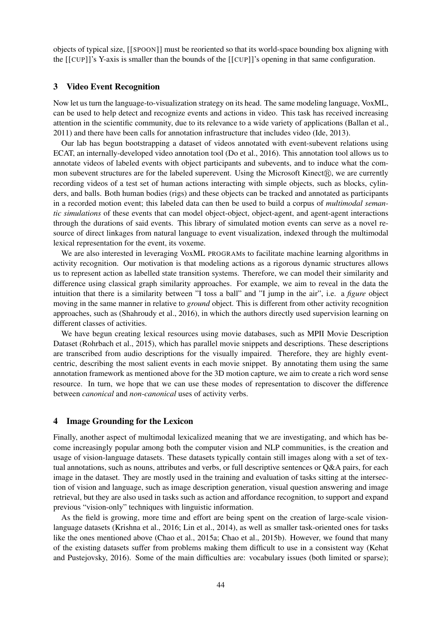objects of typical size, [[SPOON]] must be reoriented so that its world-space bounding box aligning with the [[CUP]]'s Y-axis is smaller than the bounds of the [[CUP]]'s opening in that same configuration.

#### 3 Video Event Recognition

Now let us turn the language-to-visualization strategy on its head. The same modeling language, VoxML, can be used to help detect and recognize events and actions in video. This task has received increasing attention in the scientific community, due to its relevance to a wide variety of applications (Ballan et al., 2011) and there have been calls for annotation infrastructure that includes video (Ide, 2013).

Our lab has begun bootstrapping a dataset of videos annotated with event-subevent relations using ECAT, an internally-developed video annotation tool (Do et al., 2016). This annotation tool allows us to annotate videos of labeled events with object participants and subevents, and to induce what the common subevent structures are for the labeled superevent. Using the Microsoft Kinect $(\mathbb{R})$ , we are currently recording videos of a test set of human actions interacting with simple objects, such as blocks, cylinders, and balls. Both human bodies (rigs) and these objects can be tracked and annotated as participants in a recorded motion event; this labeled data can then be used to build a corpus of *multimodal semantic simulations* of these events that can model object-object, object-agent, and agent-agent interactions through the durations of said events. This library of simulated motion events can serve as a novel resource of direct linkages from natural language to event visualization, indexed through the multimodal lexical representation for the event, its voxeme.

We are also interested in leveraging VoxML PROGRAMs to facilitate machine learning algorithms in activity recognition. Our motivation is that modeling actions as a rigorous dynamic structures allows us to represent action as labelled state transition systems. Therefore, we can model their similarity and difference using classical graph similarity approaches. For example, we aim to reveal in the data the intuition that there is a similarity between "I toss a ball" and "I jump in the air", i.e. a *figure* object moving in the same manner in relative to *ground* object. This is different from other activity recognition approaches, such as (Shahroudy et al., 2016), in which the authors directly used supervision learning on different classes of activities.

We have begun creating lexical resources using movie databases, such as MPII Movie Description Dataset (Rohrbach et al., 2015), which has parallel movie snippets and descriptions. These descriptions are transcribed from audio descriptions for the visually impaired. Therefore, they are highly eventcentric, describing the most salient events in each movie snippet. By annotating them using the same annotation framework as mentioned above for the 3D motion capture, we aim to create a rich word sense resource. In turn, we hope that we can use these modes of representation to discover the difference between *canonical* and *non-canonical* uses of activity verbs.

## 4 Image Grounding for the Lexicon

Finally, another aspect of multimodal lexicalized meaning that we are investigating, and which has become increasingly popular among both the computer vision and NLP communities, is the creation and usage of vision-language datasets. These datasets typically contain still images along with a set of textual annotations, such as nouns, attributes and verbs, or full descriptive sentences or Q&A pairs, for each image in the dataset. They are mostly used in the training and evaluation of tasks sitting at the intersection of vision and language, such as image description generation, visual question answering and image retrieval, but they are also used in tasks such as action and affordance recognition, to support and expand previous "vision-only" techniques with linguistic information.

As the field is growing, more time and effort are being spent on the creation of large-scale visionlanguage datasets (Krishna et al., 2016; Lin et al., 2014), as well as smaller task-oriented ones for tasks like the ones mentioned above (Chao et al., 2015a; Chao et al., 2015b). However, we found that many of the existing datasets suffer from problems making them difficult to use in a consistent way (Kehat and Pustejovsky, 2016). Some of the main difficulties are: vocabulary issues (both limited or sparse);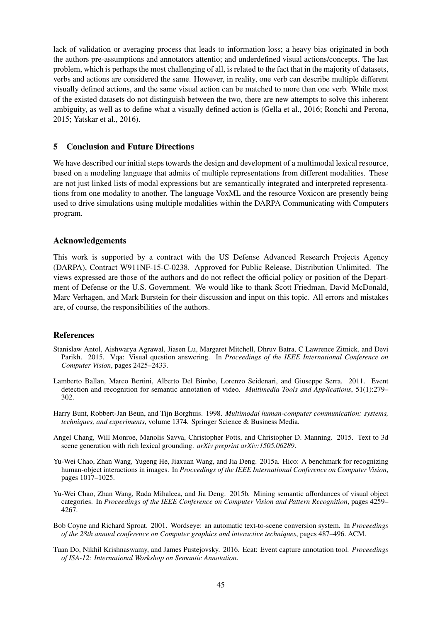lack of validation or averaging process that leads to information loss; a heavy bias originated in both the authors pre-assumptions and annotators attentio; and underdefined visual actions/concepts. The last problem, which is perhaps the most challenging of all, is related to the fact that in the majority of datasets, verbs and actions are considered the same. However, in reality, one verb can describe multiple different visually defined actions, and the same visual action can be matched to more than one verb. While most of the existed datasets do not distinguish between the two, there are new attempts to solve this inherent ambiguity, as well as to define what a visually defined action is (Gella et al., 2016; Ronchi and Perona, 2015; Yatskar et al., 2016).

# 5 Conclusion and Future Directions

We have described our initial steps towards the design and development of a multimodal lexical resource, based on a modeling language that admits of multiple representations from different modalities. These are not just linked lists of modal expressions but are semantically integrated and interpreted representations from one modality to another. The language VoxML and the resource Voxicon are presently being used to drive simulations using multiple modalities within the DARPA Communicating with Computers program.

# Acknowledgements

This work is supported by a contract with the US Defense Advanced Research Projects Agency (DARPA), Contract W911NF-15-C-0238. Approved for Public Release, Distribution Unlimited. The views expressed are those of the authors and do not reflect the official policy or position of the Department of Defense or the U.S. Government. We would like to thank Scott Friedman, David McDonald, Marc Verhagen, and Mark Burstein for their discussion and input on this topic. All errors and mistakes are, of course, the responsibilities of the authors.

# References

- Stanislaw Antol, Aishwarya Agrawal, Jiasen Lu, Margaret Mitchell, Dhruv Batra, C Lawrence Zitnick, and Devi Parikh. 2015. Vqa: Visual question answering. In *Proceedings of the IEEE International Conference on Computer Vision*, pages 2425–2433.
- Lamberto Ballan, Marco Bertini, Alberto Del Bimbo, Lorenzo Seidenari, and Giuseppe Serra. 2011. Event detection and recognition for semantic annotation of video. *Multimedia Tools and Applications*, 51(1):279– 302.
- Harry Bunt, Robbert-Jan Beun, and Tijn Borghuis. 1998. *Multimodal human-computer communication: systems, techniques, and experiments*, volume 1374. Springer Science & Business Media.
- Angel Chang, Will Monroe, Manolis Savva, Christopher Potts, and Christopher D. Manning. 2015. Text to 3d scene generation with rich lexical grounding. *arXiv preprint arXiv:1505.06289*.
- Yu-Wei Chao, Zhan Wang, Yugeng He, Jiaxuan Wang, and Jia Deng. 2015a. Hico: A benchmark for recognizing human-object interactions in images. In *Proceedings of the IEEE International Conference on Computer Vision*, pages 1017–1025.
- Yu-Wei Chao, Zhan Wang, Rada Mihalcea, and Jia Deng. 2015b. Mining semantic affordances of visual object categories. In *Proceedings of the IEEE Conference on Computer Vision and Pattern Recognition*, pages 4259– 4267.
- Bob Coyne and Richard Sproat. 2001. Wordseye: an automatic text-to-scene conversion system. In *Proceedings of the 28th annual conference on Computer graphics and interactive techniques*, pages 487–496. ACM.
- Tuan Do, Nikhil Krishnaswamy, and James Pustejovsky. 2016. Ecat: Event capture annotation tool. *Proceedings of ISA-12: International Workshop on Semantic Annotation*.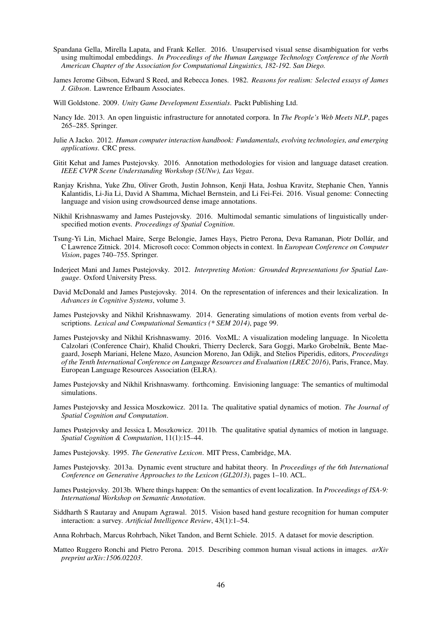- Spandana Gella, Mirella Lapata, and Frank Keller. 2016. Unsupervised visual sense disambiguation for verbs using multimodal embeddings. *In Proceedings of the Human Language Technology Conference of the North American Chapter of the Association for Computational Linguistics, 182-192. San Diego.*
- James Jerome Gibson, Edward S Reed, and Rebecca Jones. 1982. *Reasons for realism: Selected essays of James J. Gibson*. Lawrence Erlbaum Associates.
- Will Goldstone. 2009. *Unity Game Development Essentials*. Packt Publishing Ltd.
- Nancy Ide. 2013. An open linguistic infrastructure for annotated corpora. In *The People's Web Meets NLP*, pages 265–285. Springer.
- Julie A Jacko. 2012. *Human computer interaction handbook: Fundamentals, evolving technologies, and emerging applications*. CRC press.
- Gitit Kehat and James Pustejovsky. 2016. Annotation methodologies for vision and language dataset creation. *IEEE CVPR Scene Understanding Workshop (SUNw), Las Vegas*.
- Ranjay Krishna, Yuke Zhu, Oliver Groth, Justin Johnson, Kenji Hata, Joshua Kravitz, Stephanie Chen, Yannis Kalantidis, Li-Jia Li, David A Shamma, Michael Bernstein, and Li Fei-Fei. 2016. Visual genome: Connecting language and vision using crowdsourced dense image annotations.
- Nikhil Krishnaswamy and James Pustejovsky. 2016. Multimodal semantic simulations of linguistically underspecified motion events. *Proceedings of Spatial Cognition*.
- Tsung-Yi Lin, Michael Maire, Serge Belongie, James Hays, Pietro Perona, Deva Ramanan, Piotr Dollar, and ´ C Lawrence Zitnick. 2014. Microsoft coco: Common objects in context. In *European Conference on Computer Vision*, pages 740–755. Springer.
- Inderjeet Mani and James Pustejovsky. 2012. *Interpreting Motion: Grounded Representations for Spatial Language*. Oxford University Press.
- David McDonald and James Pustejovsky. 2014. On the representation of inferences and their lexicalization. In *Advances in Cognitive Systems*, volume 3.
- James Pustejovsky and Nikhil Krishnaswamy. 2014. Generating simulations of motion events from verbal descriptions. *Lexical and Computational Semantics (\* SEM 2014)*, page 99.
- James Pustejovsky and Nikhil Krishnaswamy. 2016. VoxML: A visualization modeling language. In Nicoletta Calzolari (Conference Chair), Khalid Choukri, Thierry Declerck, Sara Goggi, Marko Grobelnik, Bente Maegaard, Joseph Mariani, Helene Mazo, Asuncion Moreno, Jan Odijk, and Stelios Piperidis, editors, *Proceedings of the Tenth International Conference on Language Resources and Evaluation (LREC 2016)*, Paris, France, May. European Language Resources Association (ELRA).
- James Pustejovsky and Nikhil Krishnaswamy. forthcoming. Envisioning language: The semantics of multimodal simulations.
- James Pustejovsky and Jessica Moszkowicz. 2011a. The qualitative spatial dynamics of motion. *The Journal of Spatial Cognition and Computation*.
- James Pustejovsky and Jessica L Moszkowicz. 2011b. The qualitative spatial dynamics of motion in language. *Spatial Cognition & Computation*, 11(1):15–44.
- James Pustejovsky. 1995. *The Generative Lexicon*. MIT Press, Cambridge, MA.
- James Pustejovsky. 2013a. Dynamic event structure and habitat theory. In *Proceedings of the 6th International Conference on Generative Approaches to the Lexicon (GL2013)*, pages 1–10. ACL.
- James Pustejovsky. 2013b. Where things happen: On the semantics of event localization. In *Proceedings of ISA-9: International Workshop on Semantic Annotation*.
- Siddharth S Rautaray and Anupam Agrawal. 2015. Vision based hand gesture recognition for human computer interaction: a survey. *Artificial Intelligence Review*, 43(1):1–54.

Anna Rohrbach, Marcus Rohrbach, Niket Tandon, and Bernt Schiele. 2015. A dataset for movie description.

Matteo Ruggero Ronchi and Pietro Perona. 2015. Describing common human visual actions in images. *arXiv preprint arXiv:1506.02203*.